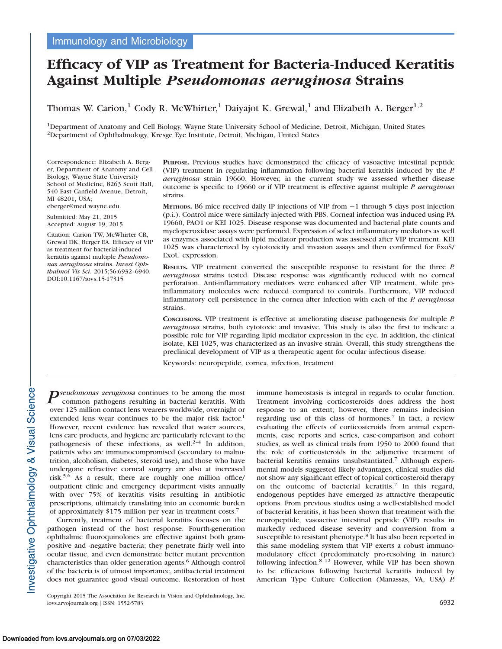# Efficacy of VIP as Treatment for Bacteria-Induced Keratitis Against Multiple Pseudomonas aeruginosa Strains

Thomas W. Carion,<sup>1</sup> Cody R. McWhirter,<sup>1</sup> Daiyajot K. Grewal,<sup>1</sup> and Elizabeth A. Berger<sup>1,2</sup>

1Department of Anatomy and Cell Biology, Wayne State University School of Medicine, Detroit, Michigan, United States 2Department of Ophthalmology, Kresge Eye Institute, Detroit, Michigan, United States

Correspondence: Elizabeth A. Berger, Department of Anatomy and Cell Biology, Wayne State University School of Medicine, 8263 Scott Hall, 540 East Canfield Avenue, Detroit, MI 48201, USA;

eberger@med.wayne.edu.

Submitted: May 21, 2015 Accepted: August 19, 2015

Citation: Carion TW, McWhirter CR, Grewal DK, Berger EA. Efficacy of VIP as treatment for bacterial-induced keratitis against multiple Pseudomonas aeruginosa strains. Invest Ophthalmol Vis Sci. 2015;56:6932–6940. DOI:10.1167/iovs.15-17315

PURPOSE. Previous studies have demonstrated the efficacy of vasoactive intestinal peptide (VIP) treatment in regulating inflammation following bacterial keratitis induced by the P. aeruginosa strain 19660. However, in the current study we assessed whether disease outcome is specific to 19660 or if VIP treatment is effective against multiple P. aeruginosa strains.

METHODS. B6 mice received daily IP injections of VIP from -1 through 5 days post injection (p.i.). Control mice were similarly injected with PBS. Corneal infection was induced using PA 19660, PAO1 or KEI 1025. Disease response was documented and bacterial plate counts and myeloperoxidase assays were performed. Expression of select inflammatory mediators as well as enzymes associated with lipid mediator production was assessed after VIP treatment. KEI 1025 was characterized by cytotoxicity and invasion assays and then confirmed for ExoS/ ExoU expression.

RESULTS. VIP treatment converted the susceptible response to resistant for the three P. aeruginosa strains tested. Disease response was significantly reduced with no corneal perforation. Anti-inflammatory mediators were enhanced after VIP treatment, while proinflammatory molecules were reduced compared to controls. Furthermore, VIP reduced inflammatory cell persistence in the cornea after infection with each of the P. aeruginosa strains.

CONCLUSIONS. VIP treatment is effective at ameliorating disease pathogenesis for multiple P. aeruginosa strains, both cytotoxic and invasive. This study is also the first to indicate a possible role for VIP regarding lipid mediator expression in the eye. In addition, the clinical isolate, KEI 1025, was characterized as an invasive strain. Overall, this study strengthens the preclinical development of VIP as a therapeutic agent for ocular infectious disease.

Keywords: neuropeptide, cornea, infection, treatment

 $P$ seudomonas aeruginosa continues to be among the most common pathogens resulting in bacterial keratitis. With over 125 million contact lens wearers worldwide, overnight or extended lens wear continues to be the major risk factor.<sup>1</sup> However, recent evidence has revealed that water sources, lens care products, and hygiene are particularly relevant to the pathogenesis of these infections, as well.<sup>2-4</sup> In addition, patients who are immunocompromised (secondary to malnutrition, alcoholism, diabetes, steroid use), and those who have undergone refractive corneal surgery are also at increased risk.5,6 As a result, there are roughly one million office/ outpatient clinic and emergency department visits annually with over 75% of keratitis visits resulting in antibiotic prescriptions, ultimately translating into an economic burden of approximately \$175 million per year in treatment costs.<sup>7</sup>

Currently, treatment of bacterial keratitis focuses on the pathogen instead of the host response. Fourth-generation ophthalmic fluoroquinolones are effective against both grampositive and -negative bacteria; they penetrate fairly well into ocular tissue, and even demonstrate better mutant prevention characteristics than older generation agents.<sup>6</sup> Although control of the bacteria is of utmost importance, antibacterial treatment does not guarantee good visual outcome. Restoration of host

Copyright 2015 The Association for Research in Vision and Ophthalmology, Inc. iovs.arvojournals.org j ISSN: 1552-5783 6932

immune homeostasis is integral in regards to ocular function. Treatment involving corticosteroids does address the host response to an extent; however, there remains indecision regarding use of this class of hormones.<sup>7</sup> In fact, a review evaluating the effects of corticosteroids from animal experiments, case reports and series, case-comparison and cohort studies, as well as clinical trials from 1950 to 2000 found that the role of corticosteroids in the adjunctive treatment of bacterial keratitis remains unsubstantiated.<sup>7</sup> Although experimental models suggested likely advantages, clinical studies did not show any significant effect of topical corticosteroid therapy on the outcome of bacterial keratitis.<sup>7</sup> In this regard, endogenous peptides have emerged as attractive therapeutic options. From previous studies using a well-established model of bacterial keratitis, it has been shown that treatment with the neuropeptide, vasoactive intestinal peptide (VIP) results in markedly reduced disease severity and conversion from a susceptible to resistant phenotype.8 It has also been reported in this same modeling system that VIP exerts a robust immunomodulatory effect (predominately pro-resolving in nature) following infection.8–12 However, while VIP has been shown to be efficacious following bacterial keratitis induced by American Type Culture Collection (Manassas, VA, USA) P.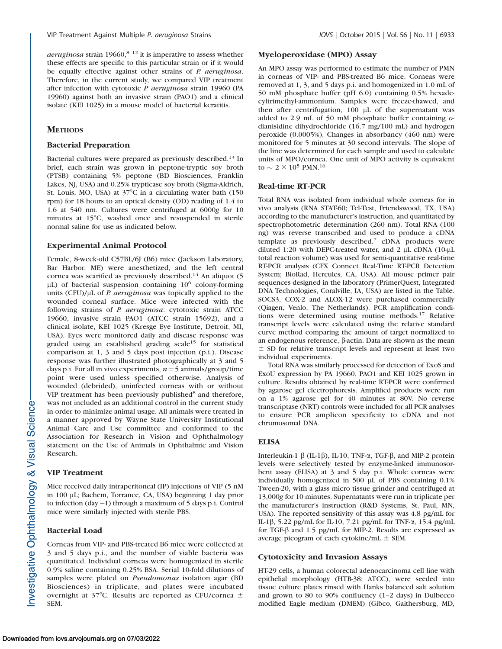aeruginosa strain  $19660$ ,  $8-12$  it is imperative to assess whether these effects are specific to this particular strain or if it would be equally effective against other strains of P. aeruginosa. Therefore, in the current study, we compared VIP treatment after infection with cytotoxic P. aeruginosa strain 19960 (PA 19960) against both an invasive strain (PAO1) and a clinical isolate (KEI 1025) in a mouse model of bacterial keratitis.

# **METHODS**

# Bacterial Preparation

Bacterial cultures were prepared as previously described.13 In brief, each strain was grown in peptone-tryptic soy broth (PTSB) containing 5% peptone (BD Biosciences, Franklin Lakes, NJ, USA) and 0.25% trypticase soy broth (Sigma-Aldrich, St. Louis, MO, USA) at  $37^{\circ}$ C in a circulating water bath (150 rpm) for 18 hours to an optical density (OD) reading of 1.4 to 1.6 at 540 nm. Cultures were centrifuged at 6000g for 10 minutes at 15°C, washed once and resuspended in sterile normal saline for use as indicated below.

# Experimental Animal Protocol

Female, 8-week-old C57BL/6J (B6) mice (Jackson Laboratory, Bar Harbor, ME) were anesthetized, and the left central cornea was scarified as previously described.<sup>14</sup> An aliquot (5 lL) of bacterial suspension containing 10<sup>6</sup> colony-forming units (CFU)/ $\mu$ L of *P. aeruginosa* was topically applied to the wounded corneal surface. Mice were infected with the following strains of P. aeruginosa: cytotoxic strain ATCC 19660, invasive strain PAO1 (ATCC strain 15692), and a clinical isolate, KEI 1025 (Kresge Eye Institute, Detroit, MI, USA). Eyes were monitored daily and disease response was graded using an established grading scale<sup>15</sup> for statistical comparison at 1, 3 and 5 days post injection (p.i.). Disease response was further illustrated photographically at 3 and 5 days p.i. For all in vivo experiments,  $n=5$  animals/group/time point were used unless specified otherwise. Analysis of wounded (debrided), uninfected corneas with or without VIP treatment has been previously published<sup>8</sup> and therefore, was not included as an additional control in the current study in order to minimize animal usage. All animals were treated in a manner approved by Wayne State University Institutional Animal Care and Use committee and conformed to the Association for Research in Vision and Ophthalmology statement on the Use of Animals in Ophthalmic and Vision Research.

## VIP Treatment

Mice received daily intraperitoneal (IP) injections of VIP (5 nM in 100 µL; Bachem, Torrance, CA, USA) beginning 1 day prior to infection (day-1) through a maximum of 5 days p.i. Control mice were similarly injected with sterile PBS.

# Bacterial Load

Corneas from VIP- and PBS-treated B6 mice were collected at 3 and 5 days p.i., and the number of viable bacteria was quantitated. Individual corneas were homogenized in sterile 0.9% saline containing 0.25% BSA. Serial 10-fold dilutions of samples were plated on Pseudomonas isolation agar (BD Biosciences) in triplicate, and plates were incubated overnight at  $37^{\circ}$ C. Results are reported as CFU/cornea  $\pm$ SEM.

# Myeloperoxidase (MPO) Assay

An MPO assay was performed to estimate the number of PMN in corneas of VIP- and PBS-treated B6 mice. Corneas were removed at 1, 3, and 5 days p.i. and homogenized in 1.0 mL of 50 mM phosphate buffer (pH 6.0) containing 0.5% hexadecyltrimethyl-ammonium. Samples were freeze-thawed, and then after centrifugation,  $100 \mu L$  of the supernatant was added to 2.9 mL of 50 mM phosphate buffer containing odianisidine dihydrochloride (16.7 mg/100 mL) and hydrogen peroxide (0.0005%). Changes in absorbancy (460 nm) were monitored for 5 minutes at 30 second intervals. The slope of the line was determined for each sample and used to calculate units of MPO/cornea. One unit of MPO activity is equivalent to  $\sim 2 \times 10^5$  PMN. $^{16}$ 

## Real-time RT-PCR

Total RNA was isolated from individual whole corneas for in vivo analysis (RNA STAT-60; Tel-Test, Friendswood, TX, USA) according to the manufacturer's instruction, and quantitated by spectrophotometric determination (260 nm). Total RNA (100 ng) was reverse transcribed and used to produce a cDNA template as previously described.<sup>7</sup> cDNA products were diluted 1:20 with DEPC-treated water, and 2  $\mu$ L cDNA (10- $\mu$ L total reaction volume) was used for semi-quantitative real-time RT-PCR analysis (CFX Connect Real-Time RT-PCR Detection System; BioRad, Hercules, CA, USA). All mouse primer pair sequences designed in the laboratory (PrimerQuest, Integrated DNA Technologies, Coralville, IA, USA) are listed in the Table. SOCS3, COX-2 and ALOX-12 were purchased commercially (Qiagen, Venlo, The Netherlands). PCR amplification conditions were determined using routine methods.<sup>17</sup> Relative transcript levels were calculated using the relative standard curve method comparing the amount of target normalized to an endogenous reference, b-actin. Data are shown as the mean  $\pm$  SD for relative transcript levels and represent at least two individual experiments.

Total RNA was similarly processed for detection of ExoS and ExoU expression by PA 19660, PAO1 and KEI 1025 grown in culture. Results obtained by real-time RT-PCR were confirmed by agarose gel electrophoresis. Amplified products were run on a 1% agarose gel for 40 minutes at 80V. No reverse transcriptase (NRT) controls were included for all PCR analyses to ensure PCR amplicon specificity to cDNA and not chromosomal DNA.

# **ELISA**

Interleukin-1  $\beta$  (IL-1 $\beta$ ), IL-10, TNF- $\alpha$ , TGF- $\beta$ , and MIP-2 protein levels were selectively tested by enzyme-linked immunosorbent assay (ELISA) at 3 and 5 day p.i. Whole corneas were individually homogenized in 500  $\mu$ L of PBS containing 0.1% Tween-20, with a glass micro tissue grinder and centrifuged at 13,000g for 10 minutes. Supernatants were run in triplicate per the manufacturer's instruction (R&D Systems, St. Paul, MN, USA). The reported sensitivity of this assay was 4.8 pg/mL for IL-1b, 5.22 pg/mL for IL-10, 7.21 pg/mL for TNF-a, 15.4 pg/mL for TGF- $\beta$  and 1.5 pg/mL for MIP-2. Results are expressed as average picogram of each cytokine/mL  $\pm$  SEM.

# Cytotoxicity and Invasion Assays

HT-29 cells, a human colorectal adenocarcinoma cell line with epithelial morphology (HTB-38; ATCC), were seeded into tissue culture plates rinsed with Hanks balanced salt solution and grown to 80 to 90% confluency (1–2 days) in Dulbecco modified Eagle medium (DMEM) (Gibco, Gaithersburg, MD,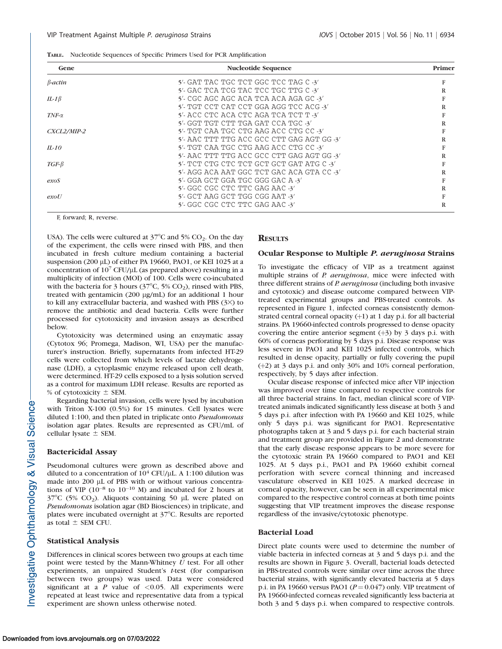|  |  |  |  |  |  |  | TABLE. Nucleotide Sequences of Specific Primers Used for PCR Amplification |
|--|--|--|--|--|--|--|----------------------------------------------------------------------------|
|--|--|--|--|--|--|--|----------------------------------------------------------------------------|

| Gene           | <b>Nucleotide Sequence</b>                 | Primer |
|----------------|--------------------------------------------|--------|
| $\beta$ -actin | 5'- GAT TAC TGC TCT GGC TCC TAG C -3'      | F      |
|                | 5'- GAC TCA TCG TAC TCC TGC TTG C $-3'$    | R      |
| IL-1 $\beta$   | 5'- CGC AGC AGC ACA TCA ACA AGA GC -3'     |        |
|                | 5'- TGT CCT CAT CCT GGA AGG TCC ACG -3'    | R      |
| $TNF-\alpha$   | $5'$ - ACC CTC ACA CTC AGA TCA TCT T -3'   |        |
|                | $5'$ - GGT TGT CTT TGA GAT CCA TGC -3'     | R      |
| CXCL2/MIP-2    | 5'- TGT CAA TGC CTG AAG ACC CTG CC -3'     |        |
|                | 5'- AAC TTT TTG ACC GCC CTT GAG AGT GG -3' | R      |
| $II-10$        | 5'- TGT CAA TGC CTG AAG ACC CTG CC -3'     |        |
|                | 5'- AAC TTT TTG ACC GCC CTT GAG AGT GG -3' | R      |
| $TGF-\beta$    | 5'- TCT CTG CTC TCT GCT GCT GAT ATG C -3'  |        |
|                | 5'- AGG ACA AAT GGC TCT GAC ACA GTA CC -3' | R      |
| exos           | $5'$ - GGA GCT GGA TGC GGG GAC A $-3'$     |        |
|                | 5'- GGC CGC CTC TTC GAG AAC -3'            | R      |
| exoU           | 5'- GCT AAG GCT TGG CGG AAT -3'            |        |
|                | 5'- GGC CGC CTC TTC GAG AAC -3'            | R      |

F, forward; R, reverse.

USA). The cells were cultured at  $37^{\circ}$ C and 5% CO<sub>2</sub>. On the day of the experiment, the cells were rinsed with PBS, and then incubated in fresh culture medium containing a bacterial suspension (200  $\mu$ L) of either PA 19660, PAO1, or KEI 1025 at a concentration of  $10^7$  CFU/µL (as prepared above) resulting in a multiplicity of infection (MOI) of 100. Cells were co-incubated with the bacteria for 3 hours ( $37^{\circ}$ C, 5% CO<sub>2</sub>), rinsed with PBS, treated with gentamicin (200 µg/mL) for an additional 1 hour to kill any extracellular bacteria, and washed with PBS  $(3x)$  to remove the antibiotic and dead bacteria. Cells were further processed for cytotoxicity and invasion assays as described below.

Cytotoxicity was determined using an enzymatic assay (Cytotox 96; Promega, Madison, WI, USA) per the manufacturer's instruction. Briefly, supernatants from infected HT-29 cells were collected from which levels of lactate dehydrogenase (LDH), a cytoplasmic enzyme released upon cell death, were determined. HT-29 cells exposed to a lysis solution served as a control for maximum LDH release. Results are reported as % of cytotoxicity  $\pm$  SEM.

Regarding bacterial invasion, cells were lysed by incubation with Triton X-100 (0.5%) for 15 minutes. Cell lysates were diluted 1:100, and then plated in triplicate onto Pseudomonas isolation agar plates. Results are represented as CFU/mL of cellular lysate  $\pm$  SEM.

## Bactericidal Assay

Pseudomonal cultures were grown as described above and diluted to a concentration of  $10^4$  CFU/µL. A 1:100 dilution was made into 200  $\mu$ L of PBS with or without various concentrations of VIP  $(10^{-8}$  to  $10^{-10}$  M) and incubated for 2 hours at  $37^{\circ}$ C (5% CO<sub>2</sub>). Aliquots containing 50 µL were plated on Pseudomonas isolation agar (BD Biosciences) in triplicate, and plates were incubated overnight at 37°C. Results are reported as total  $\pm$  SEM CFU.

## Statistical Analysis

Differences in clinical scores between two groups at each time point were tested by the Mann-Whitney  $U$  test. For all other experiments, an unpaired Student's t-test (for comparison between two groups) was used. Data were considered significant at a  $P$  value of <0.05. All experiments were repeated at least twice and representative data from a typical experiment are shown unless otherwise noted.

## **RESULTS**

#### Ocular Response to Multiple P. aeruginosa Strains

To investigate the efficacy of VIP as a treatment against multiple strains of P. aeruginosa, mice were infected with three different strains of P. aeruginosa (including both invasive and cytotoxic) and disease outcome compared between VIPtreated experimental groups and PBS-treated controls. As represented in Figure 1, infected corneas consistently demonstrated central corneal opacity  $(+1)$  at 1 day p.i. for all bacterial strains. PA 19660-infected controls progressed to dense opacity covering the entire anterior segment  $(+3)$  by 3 days p.i. with 60% of corneas perforating by 5 days p.i. Disease response was less severe in PAO1 and KEI 1025 infected controls, which resulted in dense opacity, partially or fully covering the pupil (þ2) at 3 days p.i. and only 30% and 10% corneal perforation, respectively, by 5 days after infection.

Ocular disease response of infected mice after VIP injection was improved over time compared to respective controls for all three bacterial strains. In fact, median clinical score of VIPtreated animals indicated significantly less disease at both 3 and 5 days p.i. after infection with PA 19660 and KEI 1025, while only 5 days p.i. was significant for PAO1. Representative photographs taken at 3 and 5 days p.i. for each bacterial strain and treatment group are provided in Figure 2 and demonstrate that the early disease response appears to be more severe for the cytotoxic strain PA 19660 compared to PAO1 and KEI 1025. At 5 days p.i., PAO1 and PA 19660 exhibit corneal perforation with severe corneal thinning and increased vasculature observed in KEI 1025. A marked decrease in corneal opacity, however, can be seen in all experimental mice compared to the respective control corneas at both time points suggesting that VIP treatment improves the disease response regardless of the invasive/cytotoxic phenotype.

## Bacterial Load

Direct plate counts were used to determine the number of viable bacteria in infected corneas at 3 and 5 days p.i. and the results are shown in Figure 3. Overall, bacterial loads detected in PBS-treated controls were similar over time across the three bacterial strains, with significantly elevated bacteria at 5 days p.i. in PA 19660 versus PAO1 ( $P = 0.047$ ) only. VIP treatment of PA 19660-infected corneas revealed significantly less bacteria at both 3 and 5 days p.i. when compared to respective controls.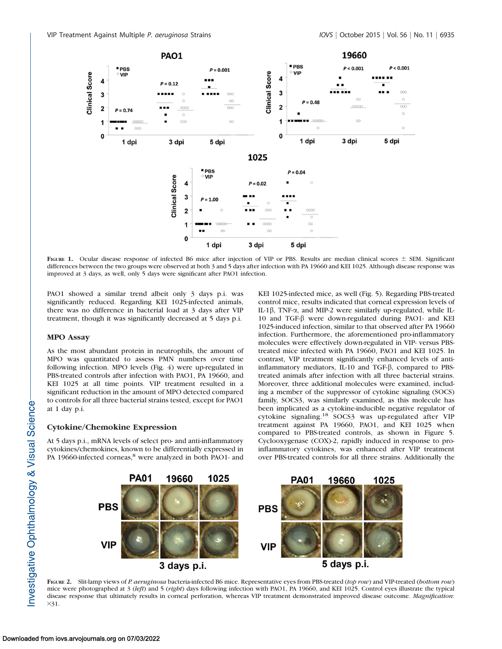

FIGURE 1. Ocular disease response of infected B6 mice after injection of VIP or PBS. Results are median clinical scores  $\pm$  SEM. Significant differences between the two groups were observed at both 3 and 5 days after infection with PA 19660 and KEI 1025. Although disease response was improved at 3 days, as well, only 5 days were significant after PAO1 infection.

PAO1 showed a similar trend albeit only 3 days p.i. was significantly reduced. Regarding KEI 1025-infected animals, there was no difference in bacterial load at 3 days after VIP treatment, though it was significantly decreased at 5 days p.i.

## MPO Assay

As the most abundant protein in neutrophils, the amount of MPO was quantitated to assess PMN numbers over time following infection. MPO levels (Fig. 4) were up-regulated in PBS-treated controls after infection with PAO1, PA 19660, and KEI 1025 at all time points. VIP treatment resulted in a significant reduction in the amount of MPO detected compared to controls for all three bacterial strains tested, except for PAO1 at 1 day p.i.

## Cytokine/Chemokine Expression

At 5 days p.i., mRNA levels of select pro- and anti-inflammatory cytokines/chemokines, known to be differentially expressed in PA 19660-infected corneas,<sup>8</sup> were analyzed in both PAO1- and KEI 1025-infected mice, as well (Fig. 5). Regarding PBS-treated control mice, results indicated that corneal expression levels of IL-1 $\beta$ , TNF- $\alpha$ , and MIP-2 were similarly up-regulated, while IL-10 and TGF-b were down-regulated during PAO1- and KEI 1025-induced infection, similar to that observed after PA 19660 infection. Furthermore, the aforementioned pro-inflammatory molecules were effectively down-regulated in VIP- versus PBStreated mice infected with PA 19660, PAO1 and KEI 1025. In contrast, VIP treatment significantly enhanced levels of antiinflammatory mediators, IL-10 and TGF- $\beta$ , compared to PBStreated animals after infection with all three bacterial strains. Moreover, three additional molecules were examined, including a member of the suppressor of cytokine signaling (SOCS) family, SOCS3, was similarly examined, as this molecule has been implicated as a cytokine-inducible negative regulator of cytokine signaling.<sup>18</sup> SOCS3 was up-regulated after VIP treatment against PA 19660, PAO1, and KEI 1025 when compared to PBS-treated controls, as shown in Figure 5. Cyclooxygenase (COX)-2, rapidly induced in response to proinflammatory cytokines, was enhanced after VIP treatment over PBS-treated controls for all three strains. Additionally the



FIGURE 2. Slit-lamp views of P. aeruginosa bacteria-infected B6 mice. Representative eyes from PBS-treated (top row) and VIP-treated (bottom row) mice were photographed at 3 (left) and 5 (right) days following infection with PAO1, PA 19660, and KEI 1025. Control eyes illustrate the typical disease response that ultimately results in corneal perforation, whereas VIP treatment demonstrated improved disease outcome. Magnification:  $\times 31$ .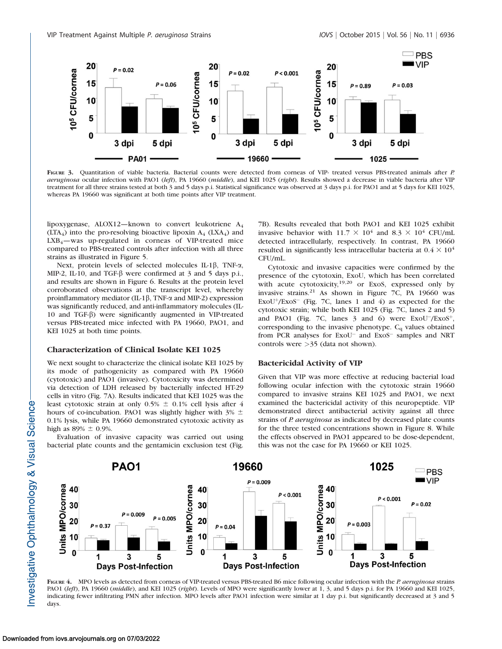

FIGURE 3. Quantitation of viable bacteria. Bacterial counts were detected from corneas of VIP- treated versus PBS-treated animals after P. aeruginosa ocular infection with PAO1 (left), PA 19660 (middle), and KEI 1025 (right). Results showed a decrease in viable bacteria after VIP treatment for all three strains tested at both 3 and 5 days p.i. Statistical significance was observed at 3 days p.i. for PAO1 and at 5 days for KEI 1025, whereas PA 19660 was significant at both time points after VIP treatment.

lipoxygenase, ALOX12—known to convert leukotriene A4  $(LTA<sub>4</sub>)$  into the pro-resolving bioactive lipoxin  $A<sub>4</sub>$  (LXA<sub>4</sub>) and  $LXB_4$ —was up-regulated in corneas of VIP-treated mice compared to PBS-treated controls after infection with all three strains as illustrated in Figure 5.

Next, protein levels of selected molecules IL-1 $\beta$ , TNF- $\alpha$ , MIP-2, IL-10, and TGF- $\beta$  were confirmed at 3 and 5 days p.i., and results are shown in Figure 6. Results at the protein level corroborated observations at the transcript level, whereby proinflammatory mediator (IL-1 $\beta$ , TNF- $\alpha$  and MIP-2) expression was significantly reduced, and anti-inflammatory molecules (IL-10 and TGF-b) were significantly augmented in VIP-treated versus PBS-treated mice infected with PA 19660, PAO1, and KEI 1025 at both time points.

## Characterization of Clinical Isolate KEI 1025

We next sought to characterize the clinical isolate KEI 1025 by its mode of pathogenicity as compared with PA 19660 (cytotoxic) and PAO1 (invasive). Cytotoxicity was determined via detection of LDH released by bacterially infected HT-29 cells in vitro (Fig. 7A). Results indicated that KEI 1025 was the least cytotoxic strain at only 0.5%  $\pm$  0.1% cell lysis after 4 hours of co-incubation. PAO1 was slightly higher with  $3\% \pm$ 0.1% lysis, while PA 19660 demonstrated cytotoxic activity as high as  $89\% \pm 0.9\%$ .

Evaluation of invasive capacity was carried out using bacterial plate counts and the gentamicin exclusion test (Fig.

7B). Results revealed that both PAO1 and KEI 1025 exhibit invasive behavior with  $11.7 \times 10^4$  and  $8.3 \times 10^4$  CFU/mL detected intracellularly, respectively. In contrast, PA 19660 resulted in significantly less intracellular bacteria at  $0.4 \times 10^4$ CFU/mL.

Cytotoxic and invasive capacities were confirmed by the presence of the cytotoxin, ExoU, which has been correlated with acute cytotoxicity, $19,20$  or ExoS, expressed only by invasive strains.<sup>21</sup> As shown in Figure 7C, PA 19660 was  $ExoU^{+}/ExoS^{-}$  (Fig. 7C, lanes 1 and 4) as expected for the cytotoxic strain; while both KEI 1025 (Fig. 7C, lanes 2 and 5) and PAO1 (Fig. 7C, lanes  $3$  and  $6$ ) were ExoU<sup>-</sup>/ExoS<sup>+</sup>, corresponding to the invasive phenotype. C<sub>q</sub> values obtained from PCR analyses for ExoU<sup>-</sup> and ExoS<sup>-</sup> samples and NRT controls were >35 (data not shown).

#### Bactericidal Activity of VIP

Given that VIP was more effective at reducing bacterial load following ocular infection with the cytotoxic strain 19660 compared to invasive strains KEI 1025 and PAO1, we next examined the bactericidal activity of this neuropeptide. VIP demonstrated direct antibacterial activity against all three strains of P. aeruginosa as indicated by decreased plate counts for the three tested concentrations shown in Figure 8. While the effects observed in PAO1 appeared to be dose-dependent, this was not the case for PA 19660 or KEI 1025.



FIGURE 4. MPO levels as detected from corneas of VIP-treated versus PBS-treated B6 mice following ocular infection with the P. aeruginosa strains PAO1 (left), PA 19660 (middle), and KEI 1025 (right). Levels of MPO were significantly lower at 1, 3, and 5 days p.i. for PA 19660 and KEI 1025, indicating fewer infiltrating PMN after infection. MPO levels after PAO1 infection were similar at 1 day p.i. but significantly decreased at 3 and 5 days.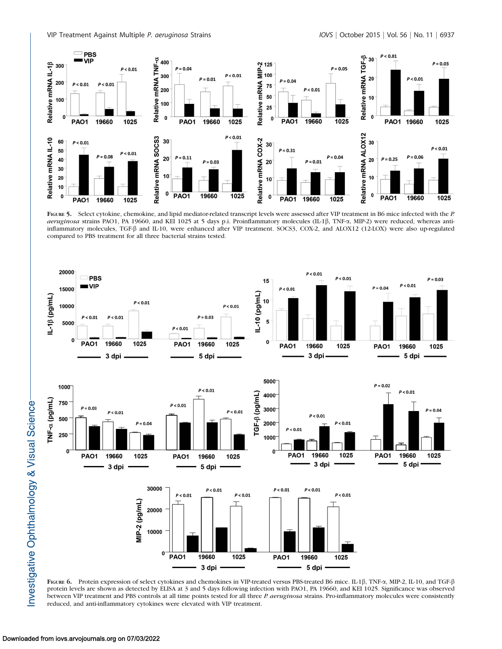

FIGURE 5. Select cytokine, chemokine, and lipid mediator-related transcript levels were assessed after VIP treatment in B6 mice infected with the P. aeruginosa strains PAO1, PA 19660, and KEI 1025 at 5 days p.i. Proinflammatory molecules (IL-1 $\beta$ , TNF- $\alpha$ , MIP-2) were reduced, whereas antiinflammatory molecules, TGF-b and IL-10, were enhanced after VIP treatment. SOCS3, COX-2, and ALOX12 (12-LOX) were also up-regulated compared to PBS treatment for all three bacterial strains tested.



FIGURE 6. Protein expression of select cytokines and chemokines in VIP-treated versus PBS-treated B6 mice. IL-1β, TNF-α, MIP-2, IL-10, and TGF-β protein levels are shown as detected by ELISA at 3 and 5 days following infection with PAO1, PA 19660, and KEI 1025. Significance was observed between VIP treatment and PBS controls at all time points tested for all three P. aeruginosa strains. Pro-inflammatory molecules were consistently reduced, and anti-inflammatory cytokines were elevated with VIP treatment.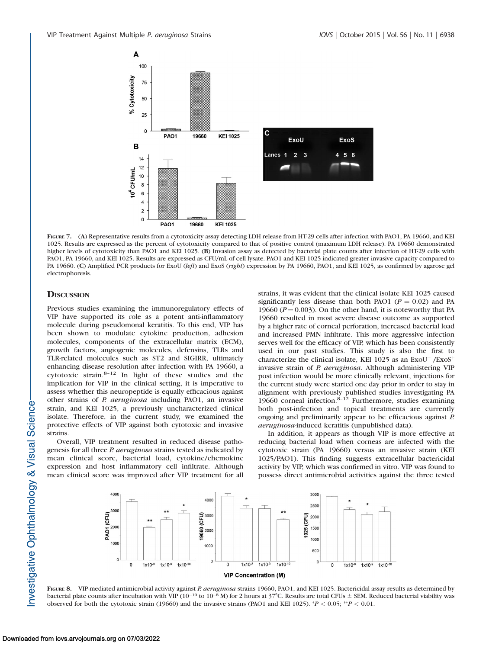

FIGURE 7. (A) Representative results from a cytotoxicity assay detecting LDH release from HT-29 cells after infection with PAO1, PA 19660, and KEI 1025. Results are expressed as the percent of cytotoxicity compared to that of positive control (maximum LDH release). PA 19660 demonstrated higher levels of cytotoxicity than PAO1 and KEI 1025. (B) Invasion assay as detected by bacterial plate counts after infection of HT-29 cells with PAO1, PA 19660, and KEI 1025. Results are expressed as CFU/mL of cell lysate. PAO1 and KEI 1025 indicated greater invasive capacity compared to PA 19660. (C) Amplified PCR products for ExoU (left) and ExoS (right) expression by PA 19660, PAO1, and KEI 1025, as confirmed by agarose gel electrophoresis.

# **DISCUSSION**

Previous studies examining the immunoregulatory effects of VIP have supported its role as a potent anti-inflammatory molecule during pseudomonal keratitis. To this end, VIP has been shown to modulate cytokine production, adhesion molecules, components of the extracellular matrix (ECM), growth factors, angiogenic molecules, defensins, TLRs and TLR-related molecules such as ST2 and SIGIRR, ultimately enhancing disease resolution after infection with PA 19660, a cytotoxic strain.8–12 In light of these studies and the implication for VIP in the clinical setting, it is imperative to assess whether this neuropeptide is equally efficacious against other strains of P. aeruginosa including PAO1, an invasive strain, and KEI 1025, a previously uncharacterized clinical isolate. Therefore, in the current study, we examined the protective effects of VIP against both cytotoxic and invasive strains.

Overall, VIP treatment resulted in reduced disease pathogenesis for all three *P. aeruginosa* strains tested as indicated by mean clinical score, bacterial load, cytokine/chemokine expression and host inflammatory cell infiltrate. Although mean clinical score was improved after VIP treatment for all strains, it was evident that the clinical isolate KEI 1025 caused significantly less disease than both PAO1 ( $P = 0.02$ ) and PA 19660 ( $P = 0.003$ ). On the other hand, it is noteworthy that PA 19660 resulted in most severe disease outcome as supported by a higher rate of corneal perforation, increased bacterial load and increased PMN infiltrate. This more aggressive infection serves well for the efficacy of VIP, which has been consistently used in our past studies. This study is also the first to characterize the clinical isolate, KEI 1025 as an  $ExoU^-/ExoS^+$ invasive strain of *P. aeruginosa*. Although administering VIP post infection would be more clinically relevant, injections for the current study were started one day prior in order to stay in alignment with previously published studies investigating PA 19660 corneal infection. $8-12$  Furthermore, studies examining both post-infection and topical treatments are currently ongoing and preliminarily appear to be efficacious against P. aeruginosa-induced keratitis (unpublished data).

In addition, it appears as though VIP is more effective at reducing bacterial load when corneas are infected with the cytotoxic strain (PA 19660) versus an invasive strain (KEI 1025/PAO1). This finding suggests extracellular bactericidal activity by VIP, which was confirmed in vitro. VIP was found to possess direct antimicrobial activities against the three tested



FIGURE 8. VIP-mediated antimicrobial activity against P. aeruginosa strains 19660, PAO1, and KEI 1025. Bactericidal assay results as determined by bacterial plate counts after incubation with VIP ( $10^{-10}$  to  $10^{-8}$  M) for 2 hours at 37°C. Results are total CFUs  $\pm$  SEM. Reduced bacterial viability was observed for both the cytotoxic strain (19660) and the invasive strains (PAO1 and KEI 1025).  $^{*}P < 0.05$ ;  $^{*}P < 0.01$ .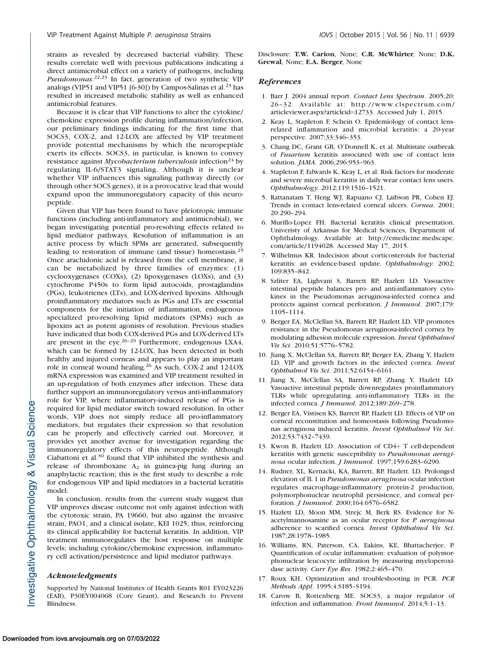strains as revealed by decreased bacterial viability. These results correlate well with previous publications indicating a direct antimicrobial effect on a variety of pathogens, including Pseudomonas.<sup>22,23</sup> In fact, generation of two synthetic VIP analogs (VIP51 and VIP51 [6-30]) by Campos-Salinas et al.<sup>23</sup> has resulted in increased metabolic stability as well as enhanced antimicrobial features.

Because it is clear that VIP functions to alter the cytokine/ chemokine expression profile during inflammation/infection, our preliminary findings indicating for the first time that SOCS3, COX-2, and 12-LOX are affected by VIP treatment provide potential mechanisms by which the neuropeptide exerts its effects. SOCS3, in particular, is known to convey resistance against *Mycobacterium tuberculosis* infection<sup>24</sup> by regulating IL-6/STAT3 signaling. Although it is unclear whether VIP influences this signaling pathway directly (or through other SOCS genes), it is a provocative lead that would expand upon the immunoregulatory capacity of this neuropeptide.

Given that VIP has been found to have pleiotropic immune functions (including anti-inflammatory and antimicrobial), we began investigating potential pro-resolving effects related to lipid mediator pathways. Resolution of inflammation is an active process by which SPMs are generated, subsequently leading to restoration of immune (and tissue) homeostasis.<sup>25</sup> Once arachidonic acid is released from the cell membrane, it can be metabolized by three families of enzymes: (1) cyclooxygenases (COXs), (2) lipoxygenases (LOXs), and (3) cytochrome P450s to form lipid autocoids, prostaglandins (PGs), leukotrienes (LTs), and LOX-derived lipoxins. Although proinflammatory mediators such as PGs and LTs are essential components for the initiation of inflammation, endogenous specialized pro-resolving lipid mediators (SPMs) such as lipoxins act as potent agonists of resolution. Previous studies have indicated that both COX-derived PGs and LOX-derived LTs are present in the eye.<sup>26-29</sup> Furthermore, endogenous LXA4, which can be formed by 12-LOX, has been detected in both healthy and injured corneas and appears to play an important role in corneal wound healing.<sup>26</sup> As such, COX-2 and 12-LOX mRNA expression was examined and VIP treatment resulted in an up-regulation of both enzymes after infection. These data further support an immunoregulatory versus anti-inflammatory role for VIP, where inflammatory-induced release of PGs is required for lipid mediator switch toward resolution. In other words, VIP does not simply reduce all pro-inflammatory mediators, but regulates their expression so that resolution can be properly and effectively carried out. Moreover, it provides yet another avenue for investigation regarding the immunoregulatory effects of this neuropeptide. Although Ciabattoni et al.<sup>30</sup> found that VIP inhibited the synthesis and release of thromboxane  $A_2$  in guinea-pig lung during an anaphylactic reaction; this is the first study to describe a role for endogenous VIP and lipid mediators in a bacterial keratitis model.

In conclusion, results from the current study suggest that VIP improves disease outcome not only against infection with the cytotoxic strain, PA 19660, but also against the invasive strain, PAO1, and a clinical isolate, KEI 1025; thus, reinforcing its clinical applicability for bacterial keratitis. In addition, VIP treatment immunoregulates the host response on multiple levels; including cytokine/chemokine expression, inflammatory cell activation/persistence and lipid mediator pathways.

# Acknowledgments

Supported by National Institutes of Health Grants R01 EY023226 (EAB), P30EY004068 (Core Grant), and Research to Prevent Blindness.

Disclosure: T.W. Carion, None; C.R. McWhirter, None; D.K. Grewal, None; E.A. Berger, None

## **References**

- 1. Barr J. 2004 annual report. Contact Lens Spectrum. 2005;20: 26-32. Available at: http://www.clspectrum.com/ articleviewer.aspx?articleid=12733. Accessed July 1, 2015.
- 2. Keay L, Stapleton F, Schein O. Epidemiology of contact lensrelated inflammation and microbial keratitis: a 20-year perspective. 2007;33:346–353.
- 3. Chang DC, Grant GB, O'Donnell K, et al. Multistate outbreak of Fusarium keratitis associated with use of contact lens solution. JAMA. 2006;296:953–963.
- 4. Stapleton F, Edwards K, Keay L, et al. Risk factors for moderate and severe microbial keratitis in daily wear contact lens users. Ophthalmology. 2012;119:1516–1521.
- 5. Rattanatam T, Heng WJ, Rapuano CJ, Laibson PR, Cohen EJ. Trends in contact lens-related corneal ulcers. Cornea. 2001; 20:290–294.
- 6. Murillo-Lopez FH. Bacterial keratitis clinical presentation. Univeristy of Arkansas for Medical Sciences, Department of Ophthalmology. Available at: http://emedicine.medscape. com/article/1194028. Accessed May 17, 2015.
- 7. Wilhelmus KR. Indecision about corticosteroids for bacterial keratitis: an evidence-based update. Ophthalmology. 2002; 109:835–842.
- 8. Szliter EA, Lighvani S, Barrett RP, Hazlett LD. Vasoactive intestinal peptide balances pro- and anti-inflammatory cytokines in the Pseudomonas aeruginosa-infected cornea and protects against corneal perforation. J Immunol. 2007;179: 1105–1114.
- 9. Berger EA, McClellan SA, Barrett RP, Hazlett LD. VIP promotes resistance in the Pseudomonas aeruginosa-infected cornea by modulating adhesion molecule expression. Invest Ophthalmol Vis Sci. 2010;51:5776–5782.
- 10. Jiang X, McClellan SA, Barrett RP, Berger EA, Zhang Y, Hazlett LD. VIP and growth factors in the infected cornea. Invest Ophthalmol Vis Sci. 2011;52:6154–6161.
- 11. Jiang X, McClellan SA, Barrett RP, Zhang Y, Hazlett LD. Vasoactive intestinal peptide downregulates proinflammatory TLRs while upregulating anti-inflammatory TLRs in the infected cornea. J Immunol. 2012;189:269–278.
- 12. Berger EA, Vistisen KS, Barrett RP, Hazlett LD. Effects of VIP on corneal reconstitution and homeostasis following Pseudomonas aeruginosa induced keratitis. Invest Ophthalmol Vis Sci. 2012;53:7432–7439.
- 13. Kwon B, Hazlett LD. Association of CD4+ T cell-dependent keratitis with genetic susceptibility to Pseudomonas aeruginosa ocular infection. J Immunol. 1997;159:6283–6290.
- 14. Rudner, XL, Kernacki, KA, Barrett, RP, Hazlett. LD. Prolonged elevation of IL 1 in Pseudomonas aeruginosa ocular infection regulates macrophage-inflammatory protein-2 production, polymorphonuclear neutrophil persistence, and corneal perforation. J Immunol. 2000;164:6576–6582.
- 15. Hazlett LD, Moon MM, Strejc M, Berk RS. Evidence for Nacetylmannosamine as an ocular receptor for P. aeruginosa adherence to scarified cornea. Invest Ophthalmol Vis Sci. 1987;28:1978–1985.
- 16. Williams, RN, Paterson, CA, Eakins, KE, Bhattacherjee. P. Quantification of ocular inflammation: evaluation of polymorphonuclear leucocyte infiltration by measuring myeloperoxidase activity. Curr Eye Res. 1982;2:465–470.
- 17. Roux KH. Optimization and troubleshooting in PCR. PCR Methods Appl. 1995;4:S185–S194.
- 18. Carow B, Rottenberg ME. SOCS3, a major regulator of infection and inflammation. Front Immunol. 2014;5:1–13.